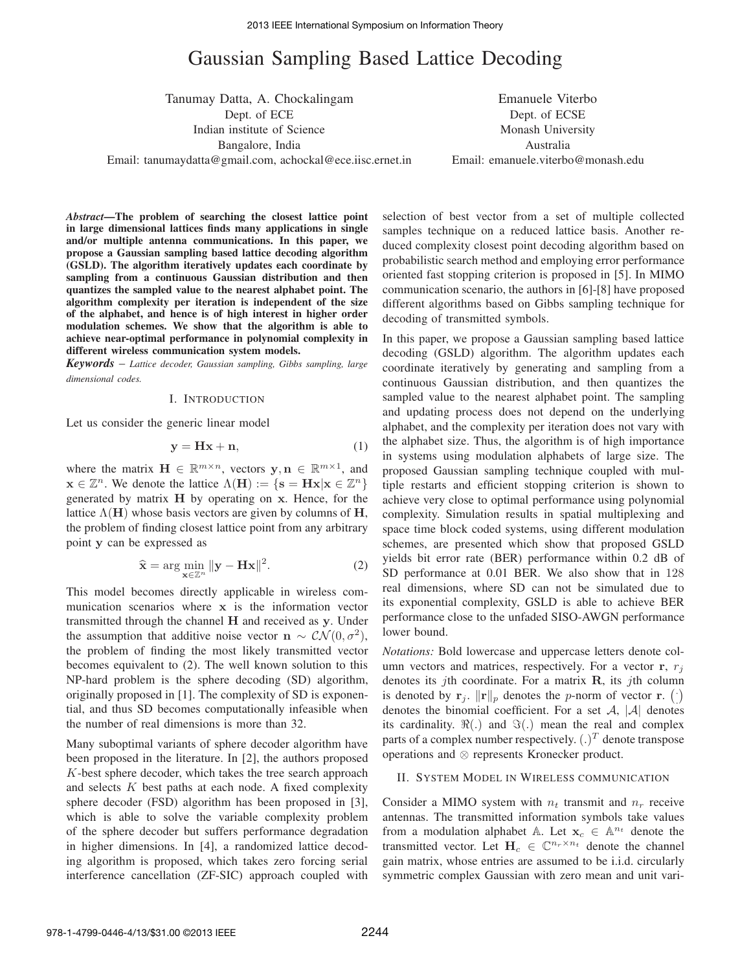# Gaussian Sampling Based Lattice Decoding

Tanumay Datta, A. Chockalingam Dept. of ECE Indian institute of Science Bangalore, India Email: tanumaydatta@gmail.com, achockal@ece.iisc.ernet.in

Emanuele Viterbo Dept. of ECSE Monash University Australia Email: emanuele.viterbo@monash.edu

*Abstract***—The problem of searching the closest lattice point in large dimensional lattices finds many applications in single and/or multiple antenna communications. In this paper, we propose a Gaussian sampling based lattice decoding algorithm (GSLD). The algorithm iteratively updates each coordinate by sampling from a continuous Gaussian distribution and then quantizes the sampled value to the nearest alphabet point. The algorithm complexity per iteration is independent of the size of the alphabet, and hence is of high interest in higher order modulation schemes. We show that the algorithm is able to achieve near-optimal performance in polynomial complexity in different wireless communication system models.**

*Keywords* – *Lattice decoder, Gaussian sampling, Gibbs sampling, large dimensional codes.*

#### I. INTRODUCTION

Let us consider the generic linear model

$$
y = Hx + n,\tag{1}
$$

where the matrix  $\mathbf{H} \in \mathbb{R}^{m \times n}$ , vectors  $\mathbf{y}, \mathbf{n} \in \mathbb{R}^{m \times 1}$ , and  $\mathbf{x} \in \mathbb{Z}^n$ . We denote the lattice  $\Lambda(\mathbf{H}) := \{ \mathbf{s} = \mathbf{H}\mathbf{x} | \mathbf{x} \in \mathbb{Z}^n \}$ generated by matrix **H** by operating on **x**. Hence, for the lattice  $\Lambda$ (**H**) whose basis vectors are given by columns of **H**, the problem of finding closest lattice point from any arbitrary point **y** can be expressed as

$$
\widehat{\mathbf{x}} = \arg\min_{\mathbf{x} \in \mathbb{Z}^n} \|\mathbf{y} - \mathbf{H}\mathbf{x}\|^2.
$$
 (2)

This model becomes directly applicable in wireless communication scenarios where **x** is the information vector transmitted through the channel **H** and received as **y**. Under the assumption that additive noise vector **n** ∼  $CN(0, \sigma^2)$ , the problem of finding the most likely transmitted vector becomes equivalent to (2). The well known solution to this NP-hard problem is the sphere decoding (SD) algorithm, originally proposed in [1]. The complexity of SD is exponential, and thus SD becomes computationally infeasible when the number of real dimensions is more than 32.

Many suboptimal variants of sphere decoder algorithm have been proposed in the literature. In [2], the authors proposed K-best sphere decoder, which takes the tree search approach and selects  $K$  best paths at each node. A fixed complexity sphere decoder (FSD) algorithm has been proposed in [3], which is able to solve the variable complexity problem of the sphere decoder but suffers performance degradation in higher dimensions. In [4], a randomized lattice decoding algorithm is proposed, which takes zero forcing serial interference cancellation (ZF-SIC) approach coupled with selection of best vector from a set of multiple collected samples technique on a reduced lattice basis. Another reduced complexity closest point decoding algorithm based on probabilistic search method and employing error performance oriented fast stopping criterion is proposed in [5]. In MIMO communication scenario, the authors in [6]-[8] have proposed different algorithms based on Gibbs sampling technique for decoding of transmitted symbols.

In this paper, we propose a Gaussian sampling based lattice decoding (GSLD) algorithm. The algorithm updates each coordinate iteratively by generating and sampling from a continuous Gaussian distribution, and then quantizes the sampled value to the nearest alphabet point. The sampling and updating process does not depend on the underlying alphabet, and the complexity per iteration does not vary with the alphabet size. Thus, the algorithm is of high importance in systems using modulation alphabets of large size. The proposed Gaussian sampling technique coupled with multiple restarts and efficient stopping criterion is shown to achieve very close to optimal performance using polynomial complexity. Simulation results in spatial multiplexing and space time block coded systems, using different modulation schemes, are presented which show that proposed GSLD yields bit error rate (BER) performance within 0.2 dB of SD performance at 0.01 BER. We also show that in 128 real dimensions, where SD can not be simulated due to its exponential complexity, GSLD is able to achieve BER performance close to the unfaded SISO-AWGN performance lower bound.

*Notations:* Bold lowercase and uppercase letters denote column vectors and matrices, respectively. For a vector  $\mathbf{r}, r_j$ denotes its jth coordinate. For a matrix **R**, its jth column is denoted by  $\mathbf{r}_j$ .  $\|\mathbf{r}\|_p$  denotes the p-norm of vector **r**. () denotes the binomial coefficient. For a set  $A$ ,  $|A|$  denotes its cardinality.  $\Re(.)$  and  $\Im(.)$  mean the real and complex parts of a complex number respectively.  $(.)^T$  denote transpose operations and ⊗ represents Kronecker product.

## II. SYSTEM MODEL IN WIRELESS COMMUNICATION

Consider a MIMO system with  $n_t$  transmit and  $n_r$  receive antennas. The transmitted information symbols take values from a modulation alphabet A. Let  $x_c \in A^{n_t}$  denote the transmitted vector. Let  $H_c \in \mathbb{C}^{n_r \times n_t}$  denote the channel gain matrix, whose entries are assumed to be i.i.d. circularly symmetric complex Gaussian with zero mean and unit vari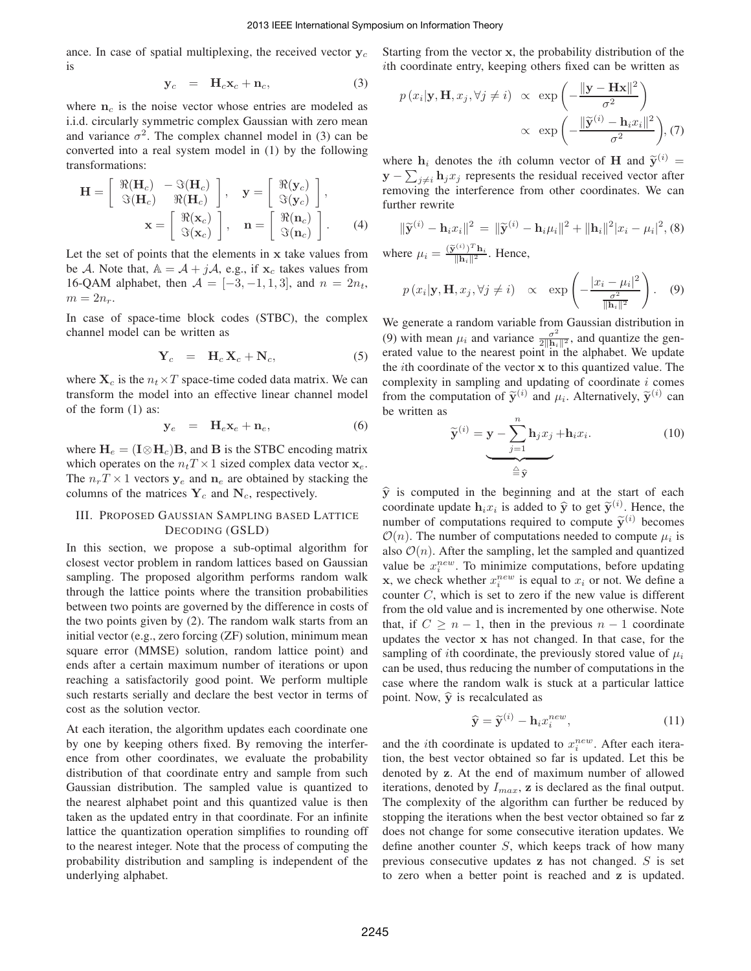ance. In case of spatial multiplexing, the received vector  $y_c$ is

$$
\mathbf{y}_c = \mathbf{H}_c \mathbf{x}_c + \mathbf{n}_c, \tag{3}
$$

where  $n_c$  is the noise vector whose entries are modeled as i.i.d. circularly symmetric complex Gaussian with zero mean and variance  $\sigma^2$ . The complex channel model in (3) can be converted into a real system model in (1) by the following transformations:

$$
\mathbf{H} = \begin{bmatrix} \Re(\mathbf{H}_c) & -\Im(\mathbf{H}_c) \\ \Im(\mathbf{H}_c) & \Re(\mathbf{H}_c) \end{bmatrix}, \quad \mathbf{y} = \begin{bmatrix} \Re(\mathbf{y}_c) \\ \Im(\mathbf{y}_c) \end{bmatrix},
$$

$$
\mathbf{x} = \begin{bmatrix} \Re(\mathbf{x}_c) \\ \Im(\mathbf{x}_c) \end{bmatrix}, \quad \mathbf{n} = \begin{bmatrix} \Re(\mathbf{n}_c) \\ \Im(\mathbf{n}_c) \end{bmatrix}. \tag{4}
$$

Let the set of points that the elements in **x** take values from be A. Note that,  $A = A + jA$ , e.g., if  $x_c$  takes values from 16-QAM alphabet, then  $A = [-3, -1, 1, 3]$ , and  $n = 2n_t$ ,  $m = 2n_r$ .

In case of space-time block codes (STBC), the complex channel model can be written as

$$
\mathbf{Y}_c = \mathbf{H}_c \mathbf{X}_c + \mathbf{N}_c, \tag{5}
$$

where  $X_c$  is the  $n_t \times T$  space-time coded data matrix. We can transform the model into an effective linear channel model of the form (1) as:

$$
\mathbf{y}_e = \mathbf{H}_e \mathbf{x}_e + \mathbf{n}_e, \tag{6}
$$

where  $H_e = (I \otimes H_c)B$ , and **B** is the STBC encoding matrix which operates on the  $n_t T \times 1$  sized complex data vector  $\mathbf{x}_e$ . The  $n_r T \times 1$  vectors  $y_e$  and  $n_e$  are obtained by stacking the columns of the matrices  $Y_c$  and  $N_c$ , respectively.

# III. PROPOSED GAUSSIAN SAMPLING BASED LATTICE DECODING (GSLD)

In this section, we propose a sub-optimal algorithm for closest vector problem in random lattices based on Gaussian sampling. The proposed algorithm performs random walk through the lattice points where the transition probabilities between two points are governed by the difference in costs of the two points given by (2). The random walk starts from an initial vector (e.g., zero forcing (ZF) solution, minimum mean square error (MMSE) solution, random lattice point) and ends after a certain maximum number of iterations or upon reaching a satisfactorily good point. We perform multiple such restarts serially and declare the best vector in terms of cost as the solution vector.

At each iteration, the algorithm updates each coordinate one by one by keeping others fixed. By removing the interference from other coordinates, we evaluate the probability distribution of that coordinate entry and sample from such Gaussian distribution. The sampled value is quantized to the nearest alphabet point and this quantized value is then taken as the updated entry in that coordinate. For an infinite lattice the quantization operation simplifies to rounding off to the nearest integer. Note that the process of computing the probability distribution and sampling is independent of the underlying alphabet.

Starting from the vector **x**, the probability distribution of the ith coordinate entry, keeping others fixed can be written as

$$
p(x_i|\mathbf{y}, \mathbf{H}, x_j, \forall j \neq i) \propto \exp\left(-\frac{\|\mathbf{y} - \mathbf{H}\mathbf{x}\|^2}{\sigma^2}\right)
$$
  
  $\propto \exp\left(-\frac{\|\widetilde{\mathbf{y}}^{(i)} - \mathbf{h}_i x_i\|^2}{\sigma^2}\right), (7)$ 

where  $h_i$  denotes the *i*th column vector of **H** and  $\widetilde{\mathbf{y}}^{(i)}$  =  $\mathbf{y} - \sum_{j \neq i} \mathbf{h}_j x_j$  represents the residual received vector after<br>removing the interference from other coordinates. We can removing the interference from other coordinates. We can further rewrite

$$
\|\widetilde{\mathbf{y}}^{(i)} - \mathbf{h}_i x_i\|^2 = \|\widetilde{\mathbf{y}}^{(i)} - \mathbf{h}_i \mu_i\|^2 + \|\mathbf{h}_i\|^2 |x_i - \mu_i|^2, (8)
$$
  
where  $\mu_i = \frac{(\widetilde{\mathbf{y}}^{(i)})^T \mathbf{h}_i}{\|\mathbf{h}_i\|^2}$ . Hence,

$$
p(x_i|\mathbf{y}, \mathbf{H}, x_j, \forall j \neq i) \propto \exp\left(-\frac{|x_i - \mu_i|^2}{\frac{\sigma^2}{\|\mathbf{h}_i\|^2}}\right).
$$
 (9)

We generate a random variable from Gaussian distribution in (9) with mean  $\mu_i$  and variance  $\frac{\sigma^2}{2\|\mathbf{h}_i\|^2}$ , and quantize the generated value to the nearest point in the alphabet. We undate erated value to the nearest point in the alphabet. We update the ith coordinate of the vector **x** to this quantized value. The complexity in sampling and updating of coordinate  $i$  comes from the computation of  $\tilde{\mathbf{y}}^{(i)}$  and  $\mu_i$ . Alternatively,  $\tilde{\mathbf{y}}^{(i)}$  can be written as

$$
\widetilde{\mathbf{y}}^{(i)} = \mathbf{y} - \sum_{j=1}^{n} \mathbf{h}_j x_j + \mathbf{h}_i x_i.
$$
\n
$$
\overset{(10)}{\underset{\triangle}{\cong}} \widehat{\mathbf{y}}
$$

 $\hat{y}$  is computed in the beginning and at the start of each example that  $\hat{y}$  is a set  $\hat{z}^{(i)}$ . Hence, the coordinate update  $h_i x_i$  is added to  $\hat{y}$  to get  $\tilde{y}^{(i)}$ . Hence, the number of computations required to compute  $\widetilde{\mathbf{y}}^{(i)}$  becomes  $\mathcal{O}(n)$ . The number of computations needed to compute  $\mu_i$  is also  $\mathcal{O}(n)$ . After the sampling, let the sampled and quantized value be  $x_i^{new}$ . To minimize computations, before updating **x**, we check whether  $x_i^{new}$  is equal to  $x_i$  or not. We define a counter C, which is set to zero if the new value is different from the old value and is incremented by one otherwise. Note that, if  $C \geq n-1$ , then in the previous  $n-1$  coordinate updates the vector **x** has not changed. In that case, for the sampling of *i*th coordinate, the previously stored value of  $\mu_i$ can be used, thus reducing the number of computations in the case where the random walk is stuck at a particular lattice point. Now,  $\hat{y}$  is recalculated as

$$
\widehat{\mathbf{y}} = \widetilde{\mathbf{y}}^{(i)} - \mathbf{h}_i x_i^{new},\tag{11}
$$

and the *i*th coordinate is updated to  $x_i^{new}$ . After each iteration, the best vector obtained so far is updated. Let this be denoted by **z**. At the end of maximum number of allowed iterations, denoted by  $I_{max}$ ,  $\mathbf{z}$  is declared as the final output. The complexity of the algorithm can further be reduced by stopping the iterations when the best vector obtained so far **z** does not change for some consecutive iteration updates. We define another counter S, which keeps track of how many previous consecutive updates **z** has not changed. S is set to zero when a better point is reached and **z** is updated.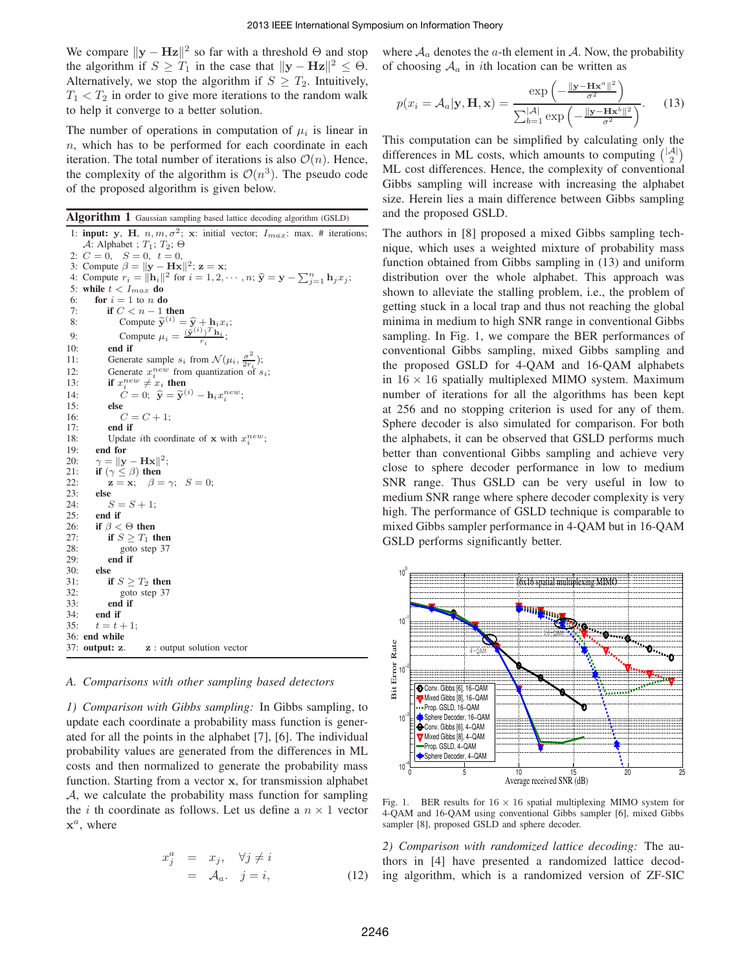We compare  $\|\mathbf{y} - \mathbf{Hz}\|^2$  so far with a threshold  $\Theta$  and stop the algorithm if  $S \geq T_1$  in the case that  $||\mathbf{y} - \mathbf{Hz}||^2 \leq \Theta$ . Alternatively, we stop the algorithm if  $S \geq T_2$ . Intuitively,  $T_1 < T_2$  in order to give more iterations to the random walk to help it converge to a better solution.

The number of operations in computation of  $\mu_i$  is linear in  $n$ , which has to be performed for each coordinate in each iteration. The total number of iterations is also  $\mathcal{O}(n)$ . Hence, the complexity of the algorithm is  $\mathcal{O}(n^3)$ . The pseudo code of the proposed algorithm is given below.

**Algorithm 1** Gaussian sampling based lattice decoding algorithm (GSLD)

1: **input: y**, **H**,  $n, m, \sigma^2$ ; **x**: initial vector;  $I_{max}$ : max. # iterations; A: Alphabet ;  $T_1$ ;  $T_2$ ;  $\Theta$ 2:  $C = \overline{0}$ ,  $S = 0$ ,  $t = 0$ , 3: Compute  $\beta = ||\mathbf{y} - \mathbf{H}\mathbf{x}||^2$ ;  $\mathbf{z} = \mathbf{x}$ ; 4: Compute  $r_i = ||\mathbf{h}_i||^2$  for  $i = 1, 2, \dots, n$ ;  $\hat{\mathbf{y}} = \mathbf{y} - \sum_{j=1}^n \mathbf{h}_j x_j$ ; 5: while  $t < I_{max}$  do 6: **for**  $i = 1$  to n **do** 7: **if**  $C < n - 1$  **then**<br>8: **Compute**  $\widetilde{\mathbf{y}}^{(i)} =$ 8: Compute  $\widetilde{\mathbf{y}}^{(i)} = \widehat{\mathbf{y}} + \mathbf{h}_i x_i;$ <br>9: Compute  $\mu_i = \frac{(\widetilde{\mathbf{y}}^{(i)})^T \mathbf{h}_i}{\widetilde{\mathbf{y}}^{(i)}};$ 9: Compute  $\mu_i = \frac{(\tilde{\mathbf{y}}^{(i)})^T \mathbf{h}_i}{r_i};$ 10: **end if** 11: Generate sample  $s_i$  from  $\mathcal{N}(\mu_i, \frac{\sigma^2}{2r_i})$ ; 12: Generate  $x_i^{new}$  from quantization of  $s_i$ ; 13: **if**  $x_i^{new} \neq x_i$  then 14:  $C = 0; \; \hat{\mathbf{y}} = \tilde{\mathbf{y}}^{(i)} - \mathbf{h}_i x_i^{new};$ 15: **else** 16:  $C = C + 1;$ 17: **end if** 18: Update *i*th coordinate of **x** with  $x_i^{new}$ ; 19: **end for** 20:  $\gamma = ||\mathbf{y} - \mathbf{H}\mathbf{x}||^2;$ 21: **if**  $(\gamma \leq \beta)$  **then** 22: **z** = **x**;  $\beta = \gamma$ ;  $S = 0$ ; 23: **else**  $S = S + 1;$ 25: **end if** 26: **if**  $\beta < \Theta$  **then**<br>27: **if**  $S > T_1$  **t** if  $S \geq T_1$  then 28: goto step 37 29: **end if** 30: **else** 31: **if**  $S \geq T_2$  **then**<br>32: **goto** step 37 goto step 37 33: **end if** 34: **end if** 35:  $t = t + 1$ ; 36: **end while** 37: **output: z**. **z** : output solution vector

# *A. Comparisons with other sampling based detectors*

*1) Comparison with Gibbs sampling:* In Gibbs sampling, to update each coordinate a probability mass function is generated for all the points in the alphabet [7], [6]. The individual probability values are generated from the differences in ML costs and then normalized to generate the probability mass function. Starting from a vector **x**, for transmission alphabet A, we calculate the probability mass function for sampling the *i* th coordinate as follows. Let us define a  $n \times 1$  vector  $\mathbf{x}^a$ , where

$$
x_j^a = x_j, \quad \forall j \neq i
$$
  
=  $\mathcal{A}_a$ ,  $j = i$ , (12)

where  $A_a$  denotes the a-th element in A. Now, the probability of choosing  $A_a$  in *i*th location can be written as

$$
p(x_i = A_a | \mathbf{y}, \mathbf{H}, \mathbf{x}) = \frac{\exp\left(-\frac{\|\mathbf{y} - \mathbf{H}\mathbf{x}^a\|^2}{\sigma^2}\right)}{\sum_{b=1}^{|\mathcal{A}|} \exp\left(-\frac{\|\mathbf{y} - \mathbf{H}\mathbf{x}^b\|^2}{\sigma^2}\right)}.
$$
 (13)

This computation can be simplified by calculating only the differences in ML costs, which amounts to computing  $\binom{|A|}{2}$ ML cost differences. Hence, the complexity of conventional Gibbs sampling will increase with increasing the alphabet size. Herein lies a main difference between Gibbs sampling and the proposed GSLD.

The authors in [8] proposed a mixed Gibbs sampling technique, which uses a weighted mixture of probability mass function obtained from Gibbs sampling in (13) and uniform distribution over the whole alphabet. This approach was shown to alleviate the stalling problem, i.e., the problem of getting stuck in a local trap and thus not reaching the global minima in medium to high SNR range in conventional Gibbs sampling. In Fig. 1, we compare the BER performances of conventional Gibbs sampling, mixed Gibbs sampling and the proposed GSLD for 4-QAM and 16-QAM alphabets in  $16 \times 16$  spatially multiplexed MIMO system. Maximum number of iterations for all the algorithms has been kept at 256 and no stopping criterion is used for any of them. Sphere decoder is also simulated for comparison. For both the alphabets, it can be observed that GSLD performs much better than conventional Gibbs sampling and achieve very close to sphere decoder performance in low to medium SNR range. Thus GSLD can be very useful in low to medium SNR range where sphere decoder complexity is very high. The performance of GSLD technique is comparable to mixed Gibbs sampler performance in 4-QAM but in 16-QAM GSLD performs significantly better.



Fig. 1. BER results for  $16 \times 16$  spatial multiplexing MIMO system for 4-QAM and 16-QAM using conventional Gibbs sampler [6], mixed Gibbs sampler [8], proposed GSLD and sphere decoder.

*2) Comparison with randomized lattice decoding:* The authors in [4] have presented a randomized lattice decoding algorithm, which is a randomized version of ZF-SIC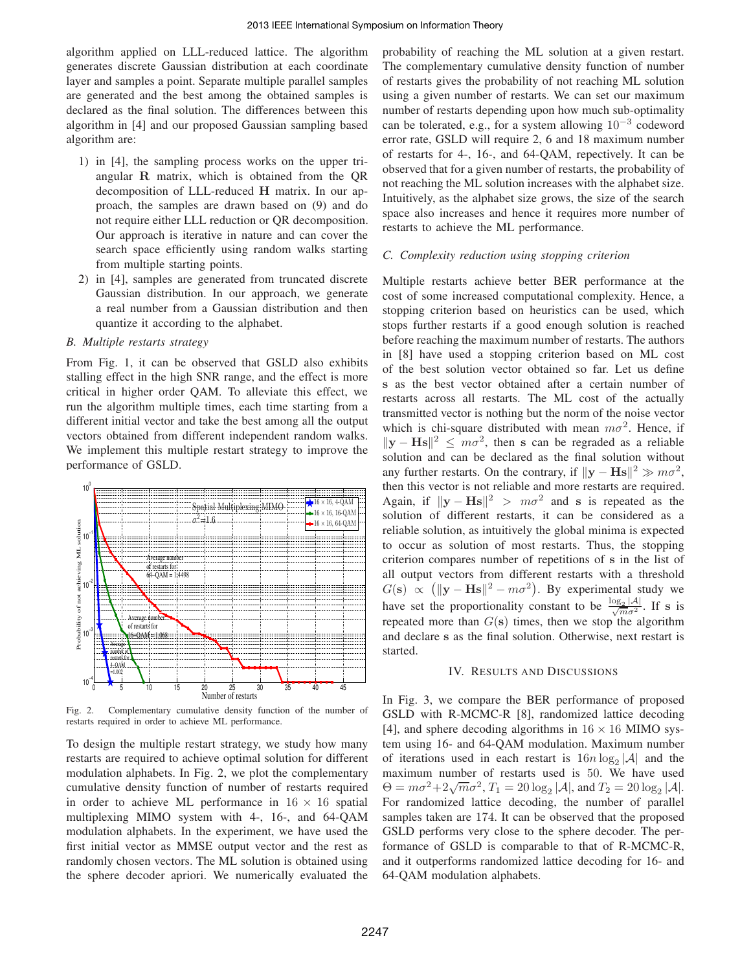algorithm applied on LLL-reduced lattice. The algorithm generates discrete Gaussian distribution at each coordinate layer and samples a point. Separate multiple parallel samples are generated and the best among the obtained samples is declared as the final solution. The differences between this algorithm in [4] and our proposed Gaussian sampling based algorithm are:

- 1) in [4], the sampling process works on the upper triangular **R** matrix, which is obtained from the QR decomposition of LLL-reduced **H** matrix. In our approach, the samples are drawn based on (9) and do not require either LLL reduction or QR decomposition. Our approach is iterative in nature and can cover the search space efficiently using random walks starting from multiple starting points.
- 2) in [4], samples are generated from truncated discrete Gaussian distribution. In our approach, we generate a real number from a Gaussian distribution and then quantize it according to the alphabet.

# *B. Multiple restarts strategy*

From Fig. 1, it can be observed that GSLD also exhibits stalling effect in the high SNR range, and the effect is more critical in higher order QAM. To alleviate this effect, we run the algorithm multiple times, each time starting from a different initial vector and take the best among all the output vectors obtained from different independent random walks. We implement this multiple restart strategy to improve the performance of GSLD.



Fig. 2. Complementary cumulative density function of the number of restarts required in order to achieve ML performance.

To design the multiple restart strategy, we study how many restarts are required to achieve optimal solution for different modulation alphabets. In Fig. 2, we plot the complementary cumulative density function of number of restarts required in order to achieve ML performance in  $16 \times 16$  spatial multiplexing MIMO system with 4-, 16-, and 64-QAM modulation alphabets. In the experiment, we have used the first initial vector as MMSE output vector and the rest as randomly chosen vectors. The ML solution is obtained using the sphere decoder apriori. We numerically evaluated the probability of reaching the ML solution at a given restart. The complementary cumulative density function of number of restarts gives the probability of not reaching ML solution using a given number of restarts. We can set our maximum number of restarts depending upon how much sub-optimality can be tolerated, e.g., for a system allowing  $10^{-3}$  codeword error rate, GSLD will require 2, 6 and 18 maximum number of restarts for 4-, 16-, and 64-QAM, repectively. It can be observed that for a given number of restarts, the probability of not reaching the ML solution increases with the alphabet size. Intuitively, as the alphabet size grows, the size of the search space also increases and hence it requires more number of restarts to achieve the ML performance.

## *C. Complexity reduction using stopping criterion*

Multiple restarts achieve better BER performance at the cost of some increased computational complexity. Hence, a stopping criterion based on heuristics can be used, which stops further restarts if a good enough solution is reached before reaching the maximum number of restarts. The authors in [8] have used a stopping criterion based on ML cost of the best solution vector obtained so far. Let us define **s** as the best vector obtained after a certain number of restarts across all restarts. The ML cost of the actually transmitted vector is nothing but the norm of the noise vector which is chi-square distributed with mean  $m\sigma^2$ . Hence, if  $\|\mathbf{y} - \mathbf{H}\mathbf{s}\|^2 \leq m\sigma^2$ , then **s** can be regraded as a reliable solution and can be declared as the final solution without any further restarts. On the contrary, if  $\|\mathbf{y} - \mathbf{Hs}\|^2 \gg m\sigma^2$ , then this vector is not reliable and more restarts are required. Again, if  $\|\mathbf{v} - \mathbf{Hs}\|^2 > m\sigma^2$  and **s** is repeated as the solution of different restarts, it can be considered as a reliable solution, as intuitively the global minima is expected to occur as solution of most restarts. Thus, the stopping criterion compares number of repetitions of **s** in the list of all output vectors from different restarts with a threshold  $G(s) \propto (||\mathbf{y} - \mathbf{H}\mathbf{s}||^2 - m\sigma^2)$ . By experimental study we have set the proportionality constant to be  $\frac{\log_2 |A|}{\sqrt{m\sigma^2}}$ . If s is repeated more than  $G(s)$  times, then we stop the algorithm and declare **s** as the final solution. Otherwise, next restart is started.

#### IV. RESULTS AND DISCUSSIONS

In Fig. 3, we compare the BER performance of proposed GSLD with R-MCMC-R [8], randomized lattice decoding [4], and sphere decoding algorithms in  $16 \times 16$  MIMO system using 16- and 64-QAM modulation. Maximum number of iterations used in each restart is  $16n \log_2 |\mathcal{A}|$  and the maximum number of restarts used is 50. We have used  $\Theta = m\sigma^2 + 2\sqrt{m}\sigma^2$ ,  $T_1 = 20 \log_2 |\mathcal{A}|$ , and  $T_2 = 20 \log_2 |\mathcal{A}|$ . For randomized lattice decoding, the number of parallel samples taken are 174. It can be observed that the proposed GSLD performs very close to the sphere decoder. The performance of GSLD is comparable to that of R-MCMC-R, and it outperforms randomized lattice decoding for 16- and 64-QAM modulation alphabets.